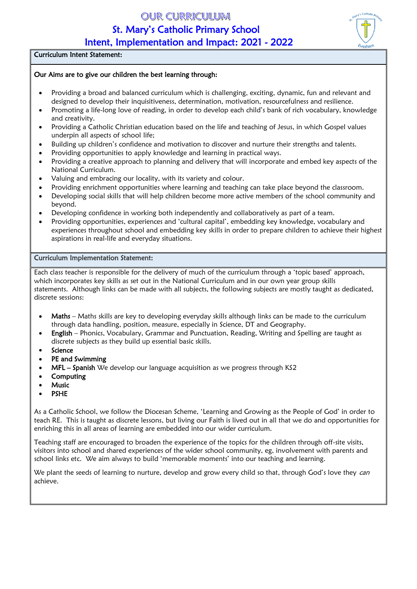# OUR CURRICULUM

St. Mary's Catholic Primary School

Intent, Implementation and Impact: 2021 - 2022



## Curriculum Intent Statement:

#### Our Aims are to give our children the best learning through:

- Providing a broad and balanced curriculum which is challenging, exciting, dynamic, fun and relevant and designed to develop their inquisitiveness, determination, motivation, resourcefulness and resilience.
- Promoting a life-long love of reading, in order to develop each child's bank of rich vocabulary, knowledge and creativity.
- Providing a Catholic Christian education based on the life and teaching of Jesus, in which Gospel values underpin all aspects of school life;
- Building up children's confidence and motivation to discover and nurture their strengths and talents.
- Providing opportunities to apply knowledge and learning in practical ways.
- Providing a creative approach to planning and delivery that will incorporate and embed key aspects of the National Curriculum.
- Valuing and embracing our locality, with its variety and colour.
- Providing enrichment opportunities where learning and teaching can take place beyond the classroom.
- Developing social skills that will help children become more active members of the school community and beyond.
- Developing confidence in working both independently and collaboratively as part of a team.
- Providing opportunities, experiences and 'cultural capital', embedding key knowledge, vocabulary and experiences throughout school and embedding key skills in order to prepare children to achieve their highest aspirations in real-life and everyday situations.

### Curriculum Implementation Statement:

Each class teacher is responsible for the delivery of much of the curriculum through a 'topic based' approach, which incorporates key skills as set out in the National Curriculum and in our own year group skills statements. Although links can be made with all subjects, the following subjects are mostly taught as dedicated, discrete sessions:

- Maths Maths skills are key to developing everyday skills although links can be made to the curriculum through data handling, position, measure, especially in Science, DT and Geography.
- English Phonics, Vocabulary, Grammar and Punctuation, Reading, Writing and Spelling are taught as discrete subjects as they build up essential basic skills.
- **Science**
- PE and Swimming
- MFL Spanish We develop our language acquisition as we progress through KS2
- Computing
- Music
- PSHE

As a Catholic School, we follow the Diocesan Scheme, 'Learning and Growing as the People of God' in order to teach RE. This is taught as discrete lessons, but living our Faith is lived out in all that we do and opportunities for enriching this in all areas of learning are embedded into our wider curriculum.

Teaching staff are encouraged to broaden the experience of the topics for the children through off-site visits, visitors into school and shared experiences of the wider school community, eg, involvement with parents and school links etc. We aim always to build 'memorable moments' into our teaching and learning.

We plant the seeds of learning to nurture, develop and grow every child so that, through God's love they can achieve.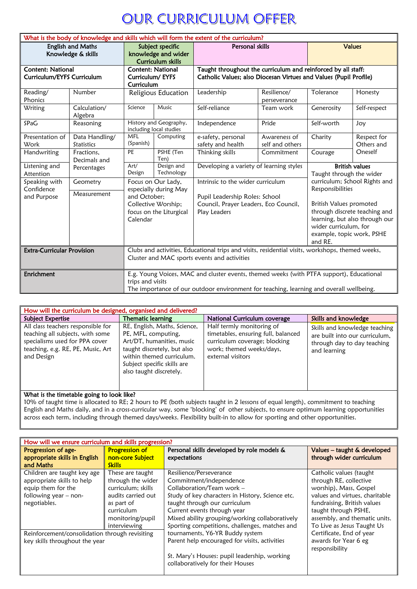# OUR CURRICULUM OFFER

| What is the body of knowledge and skills which will form the extent of the curriculum? |                              |                                                                                                                                                                                                         |                                                   |                                                                                                                                    |                                                   |                                                                                                                                                             |                           |
|----------------------------------------------------------------------------------------|------------------------------|---------------------------------------------------------------------------------------------------------------------------------------------------------------------------------------------------------|---------------------------------------------------|------------------------------------------------------------------------------------------------------------------------------------|---------------------------------------------------|-------------------------------------------------------------------------------------------------------------------------------------------------------------|---------------------------|
| <b>English and Maths</b><br>Knowledge & skills                                         |                              | Subject specific<br>knowledge and wider<br>Curriculum skills                                                                                                                                            |                                                   | Personal skills                                                                                                                    |                                                   | <b>Values</b>                                                                                                                                               |                           |
| <b>Content: National</b><br>Curriculum/EYFS Curriculum                                 |                              | <b>Content: National</b><br>Curriculum/EYFS<br>Curriculum                                                                                                                                               |                                                   | Taught throughout the curriculum and reinforced by all staff:<br>Catholic Values; also Diocesan Virtues and Values (Pupil Profile) |                                                   |                                                                                                                                                             |                           |
| Reading/<br>Phonics                                                                    | Number                       | Religious Education                                                                                                                                                                                     |                                                   | Leadership                                                                                                                         | Resilience/<br>perseverance                       | Tolerance                                                                                                                                                   | Honesty                   |
| Writing                                                                                | Calculation/<br>Algebra      | Science                                                                                                                                                                                                 | Music                                             | Self-reliance                                                                                                                      | Team work                                         | Generosity                                                                                                                                                  | Self-respect              |
| SPaG                                                                                   | Reasoning                    |                                                                                                                                                                                                         | History and Geography,<br>including local studies | Independence                                                                                                                       | Pride                                             | Self-worth                                                                                                                                                  | Joy                       |
| Presentation of<br>Work                                                                | Data Handling/<br>Statistics | <b>MFL</b><br>(Spanish)                                                                                                                                                                                 | Computing                                         | e-safety, personal<br>safety and health                                                                                            | Awareness of<br>self and others                   | Charity                                                                                                                                                     | Respect for<br>Others and |
| Handwriting                                                                            | Fractions.<br>Decimals and   | PE                                                                                                                                                                                                      | PSHE (Ten<br>Ten)                                 | Thinking skills                                                                                                                    | Commitment                                        | Courage                                                                                                                                                     | Oneself                   |
| Listening and<br>Attention                                                             | Percentages                  | Art/<br>Design                                                                                                                                                                                          | Design and<br>Technology                          | Developing a variety of learning styles                                                                                            |                                                   | Taught through the wider                                                                                                                                    | <b>British values</b>     |
| Speaking with<br>Confidence                                                            | Geometry                     | Focus on Our Lady,<br>especially during May<br>and October:<br>Collective Worship;<br>focus on the Liturgical<br>Calendar                                                                               |                                                   | Intrinsic to the wider curriculum                                                                                                  | curriculum; School Rights and<br>Responsibilities |                                                                                                                                                             |                           |
| and Purpose                                                                            | Measurement                  |                                                                                                                                                                                                         |                                                   | Pupil Leadership Roles: School<br>Council, Prayer Leaders, Eco Council,<br>Play Leaders                                            |                                                   | British Values promoted<br>through discrete teaching and<br>learning, but also through our<br>wider curriculum, for<br>example, topic work, PSHE<br>and RE. |                           |
| <b>Extra-Curricular Provision</b>                                                      |                              | Clubs and activities, Educational trips and visits, residential visits, workshops, themed weeks,<br>Cluster and MAC sports events and activities                                                        |                                                   |                                                                                                                                    |                                                   |                                                                                                                                                             |                           |
| <b>Enrichment</b>                                                                      |                              | E.g. Young Voices, MAC and cluster events, themed weeks (with PTFA support), Educational<br>trips and visits<br>The importance of our outdoor environment for teaching, learning and overall wellbeing. |                                                   |                                                                                                                                    |                                                   |                                                                                                                                                             |                           |

| How will the curriculum be designed, organised and delivered?                                                                                               |                                                                                                                                                                                                        |                                                                                                                                                    |                                                                                                                |  |  |
|-------------------------------------------------------------------------------------------------------------------------------------------------------------|--------------------------------------------------------------------------------------------------------------------------------------------------------------------------------------------------------|----------------------------------------------------------------------------------------------------------------------------------------------------|----------------------------------------------------------------------------------------------------------------|--|--|
| Subject Expertise                                                                                                                                           | <b>Thematic learning</b>                                                                                                                                                                               | National Curriculum coverage                                                                                                                       | Skills and knowledge                                                                                           |  |  |
| All class teachers responsible for<br>teaching all subjects, with some<br>specialisms used for PPA cover<br>teaching, e.g. RE, PE, Music, Art<br>and Design | RE, English, Maths, Science,<br>PE, MFL, computing,<br>Art/DT, humanities, music<br>taught discretely, but also<br>within themed curriculum.<br>Subject specific skills are<br>also taught discretely. | Half termly monitoring of<br>timetables, ensuring full, balanced<br>curriculum coverage; blocking<br>work; themed weeks/days,<br>external visitors | Skills and knowledge teaching<br>are built into our curriculum.<br>through day to day teaching<br>and learning |  |  |
|                                                                                                                                                             |                                                                                                                                                                                                        |                                                                                                                                                    |                                                                                                                |  |  |

#### What is the timetable going to look like?

10% of taught time is allocated to RE; 2 hours to PE (both subjects taught in 2 lessons of equal length), commitment to teaching English and Maths daily, and in a cross-curricular way, some 'blocking' of other subjects, to ensure optimum learning opportunities across each term, including through themed days/weeks. Flexibility built-in to allow for sporting and other opportunities.

| How will we ensure curriculum and skills progression? |                       |                                                  |                                        |  |  |
|-------------------------------------------------------|-----------------------|--------------------------------------------------|----------------------------------------|--|--|
| Progression of age-                                   | <b>Progression of</b> | Personal skills developed by role models &       | Values - taught & developed            |  |  |
| appropriate skills in English                         | non-core Subject      | expectations                                     | through wider curriculum               |  |  |
| and Maths                                             | <b>Skills</b>         |                                                  |                                        |  |  |
| Children are taught key age                           | These are taught      | Resilience/Perseverance                          | Catholic values (taught                |  |  |
| appropriate skills to help                            | through the wider     | Commitment/independence                          | through RE, collective                 |  |  |
| equip them for the                                    | curriculum; skills    | Collaboration/Team work $-$                      | worship), Mass, Gospel                 |  |  |
| following year $-$ non-                               | audits carried out    | Study of key characters in History, Science etc. | values and virtues, charitable         |  |  |
| negotiables.                                          | as part of            | taught through our curriculum                    | fundraising, British values            |  |  |
|                                                       | curriculum            | Current events through year                      | taught through PSHE,                   |  |  |
|                                                       | monitoring/pupil      | Mixed ability grouping/working collaboratively   | assembly, and thematic units.          |  |  |
|                                                       | interviewing          | Sporting competitions, challenges, matches and   | To Live as Jesus Taught Us             |  |  |
| Reinforcement/consolidation through revisiting        |                       | tournaments, Y6-YR Buddy system                  | Certificate, End of year               |  |  |
| key skills throughout the year                        |                       | Parent help encouraged for visits, activities    | awards for Year 6 eg<br>responsibility |  |  |
|                                                       |                       | St. Mary's Houses: pupil leadership, working     |                                        |  |  |
|                                                       |                       | collaboratively for their Houses                 |                                        |  |  |